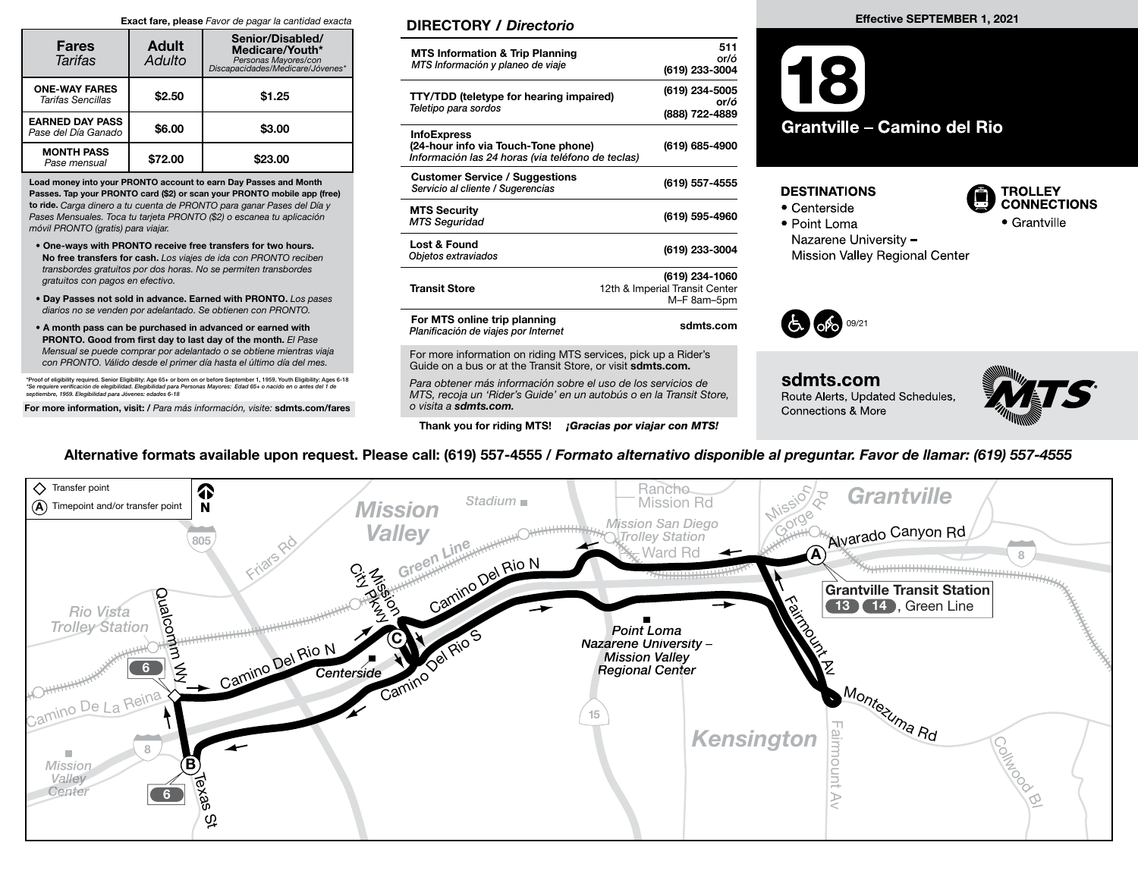#### Exact fare, please Favor de pagar la cantidad exacta

| <b>Fares</b><br>Tarifas                       | <b>Adult</b><br>Adulto | Senior/Disabled/<br>Medicare/Youth*<br>Personas Mayores/con<br>Discapacidades/Medicare/Jóvenes* |  |
|-----------------------------------------------|------------------------|-------------------------------------------------------------------------------------------------|--|
| <b>ONE-WAY FARES</b><br>Tarifas Sencillas     | \$2.50                 | \$1.25                                                                                          |  |
| <b>EARNED DAY PASS</b><br>Pase del Día Ganado | \$6.00                 | \$3.00                                                                                          |  |
| <b>MONTH PASS</b><br>Pase mensual             | \$72.00                | \$23.00                                                                                         |  |

Load money into your PRONTO account to earn Day Passes and Month Passes. Tap your PRONTO card (\$2) or scan your PRONTO mobile app (free) to ride. Carga dinero a tu cuenta de PRONTO para ganar Pases del Día y Pases Mensuales. Toca tu tarjeta PRONTO (\$2) o escanea tu aplicación móvil PRONTO (gratis) para viajar.

- One-ways with PRONTO receive free transfers for two hours. No free transfers for cash. Los viajes de ida con PRONTO reciben transbordes gratuitos por dos horas. No se permiten transbordes gratuitos con pagos en efectivo.
- Day Passes not sold in advance. Earned with PRONTO. Los pases diarios no se venden por adelantado. Se obtienen con PRONTO.
- A month pass can be purchased in advanced or earned with PRONTO. Good from first day to last day of the month. El Pase Mensual se puede comprar por adelantado o se obtiene mientras viaja con PRONTO. Válido desde el primer día hasta el último día del mes.

\*Proof of eligibility required. Senior Eligibility: Age 65+ or born on or before September 1, 1959. Youth Eligibility: Ages 6-18 \*Se requiere verificación de elegibilidad. Elegibilidad para Personas Mayores: Edad 65+ o nacido en o antes del 1 de<br>septiembre, 1959. Elegibilidad para Jóvenes: edades 6-18

For more information, visit: / Para más información, visite: sdmts.com/fares

#### DIRECTORY / Directorio

| <b>MTS Information &amp; Trip Planning</b><br>MTS Información y planeo de viaje                                | 511<br>or/ó<br>(619) 233-3004                                   |
|----------------------------------------------------------------------------------------------------------------|-----------------------------------------------------------------|
| <b>TTY/TDD</b> (teletype for hearing impaired)<br>Teletipo para sordos                                         | (619) 234-5005<br>or/ó<br>(888) 722-4889                        |
| <b>InfoExpress</b><br>(24-hour info via Touch-Tone phone)<br>Información las 24 horas (via teléfono de teclas) | (619) 685-4900                                                  |
| <b>Customer Service / Suggestions</b><br>Servicio al cliente / Sugerencias                                     | (619) 557-4555                                                  |
| <b>MTS Security</b><br><b>MTS Seguridad</b>                                                                    | (619) 595-4960                                                  |
| Lost & Found<br>Objetos extraviados                                                                            | (619) 233-3004                                                  |
| <b>Transit Store</b>                                                                                           | (619) 234-1060<br>12th & Imperial Transit Center<br>M-F 8am-5pm |
| For MTS online trip planning<br>Planificación de viajes por Internet                                           | sdmts.com                                                       |
|                                                                                                                |                                                                 |

For more information on riding MTS services, pick up a Rider's Guide on a bus or at the Transit Store, or visit sdmts.com.

Para obtener más información sobre el uso de los servicios de MTS, recoja un 'Rider's Guide' en un autobús o en la Transit Store, o visita a sdmts.com.

Thank you for riding MTS! **¡Gracias por viajar con MTS!** 

#### Effective SEPTEMBER 1, 2021



#### **DESTINATIONS**

- Centerside
- Point Loma



Nazarene University -



Mission Valley Regional Center



sdmts.com Route Alerts, Updated Schedules, Connections & More



### Alternative formats available upon request. Please call: (619) 557-4555 / Formato alternativo disponible al preguntar. Favor de llamar: (619) 557-4555